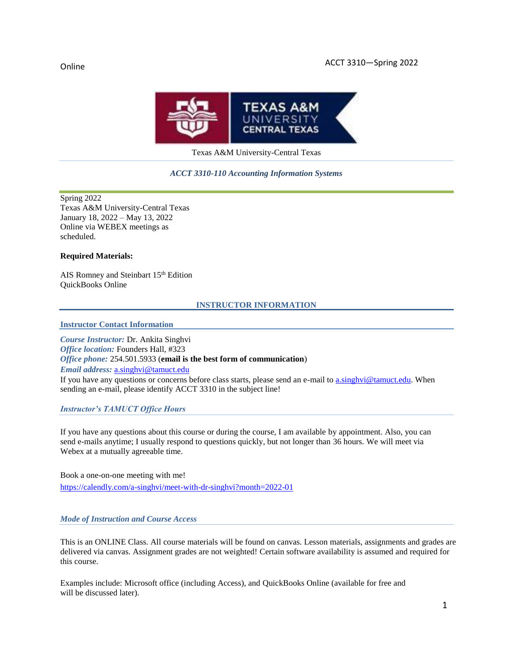

Texas A&M University-Central Texas

#### *ACCT 3310-110 Accounting Information Systems*

Spring 2022 Texas A&M University-Central Texas January 18, 2022 – May 13, 2022 Online via WEBEX meetings as scheduled.

#### **Required Materials:**

AIS Romney and Steinbart 15<sup>th</sup> Edition QuickBooks Online

#### **INSTRUCTOR INFORMATION**

**Instructor Contact Information**

*Course Instructor:* Dr. Ankita Singhvi *Office location:* Founders Hall, #323 *Office phone:* 254.501.5933 (**email is the best form of communication**) *Email address:* [a.singhvi@tamuct.edu](mailto:a.singhvi@tamuct.edu) If you have any questions or concerns before class starts, please send an e-mail to a.singhvi@tamuct.edu. When

sending an e-mail, please identify ACCT 3310 in the subject line!

#### *Instructor's TAMUCT Office Hours*

If you have any questions about this course or during the course, I am available by appointment. Also, you can send e-mails anytime; I usually respond to questions quickly, but not longer than 36 hours. We will meet via Webex at a mutually agreeable time.

Book a one-on-one meeting with me! <https://calendly.com/a-singhvi/meet-with-dr-singhvi?month=2022-01>

#### *Mode of Instruction and Course Access*

This is an ONLINE Class. All course materials will be found on canvas. Lesson materials, assignments and grades are delivered via canvas. Assignment grades are not weighted! Certain software availability is assumed and required for this course.

Examples include: Microsoft office (including Access), and QuickBooks Online (available for free and will be discussed later).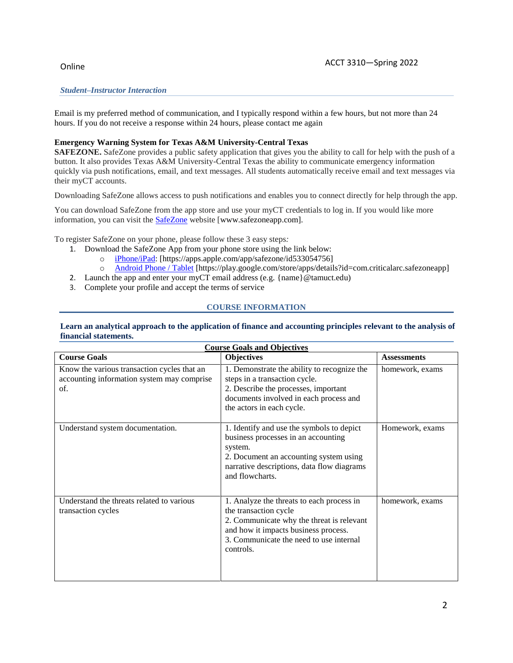### *Student–Instructor Interaction*

Email is my preferred method of communication, and I typically respond within a few hours, but not more than 24 hours. If you do not receive a response within 24 hours, please contact me again

#### **Emergency Warning System for Texas A&M University-Central Texas**

**SAFEZONE.** SafeZone provides a public safety application that gives you the ability to call for help with the push of a button. It also provides Texas A&M University-Central Texas the ability to communicate emergency information quickly via push notifications, email, and text messages. All students automatically receive email and text messages via their myCT accounts.

Downloading SafeZone allows access to push notifications and enables you to connect directly for help through the app.

You can download SafeZone from the app store and use your myCT credentials to log in. If you would like more information, you can visit the **[SafeZone](http://www.safezoneapp.com/)** website [www.safezoneapp.com].

To register SafeZone on your phone, please follow these 3 easy steps*:*

- 1. Download the SafeZone App from your phone store using the link below:
	- o [iPhone/iPad:](https://apps.apple.com/app/safezone/id533054756) [https://apps.apple.com/app/safezone/id533054756]
	- o [Android Phone / Tablet](https://play.google.com/store/apps/details?id=com.criticalarc.safezoneapp) [https://play.google.com/store/apps/details?id=com.criticalarc.safezoneapp]
- 2. Launch the app and enter your myCT email address (e.g. {name}@tamuct.edu)
- 3. Complete your profile and accept the terms of service

### **COURSE INFORMATION**

#### Learn an analytical approach to the application of finance and accounting principles relevant to the analysis of **financial statements.**

| <b>Course Goals and Objectives</b>                                                               |                                                                                                                                                                                                                 |                    |  |  |
|--------------------------------------------------------------------------------------------------|-----------------------------------------------------------------------------------------------------------------------------------------------------------------------------------------------------------------|--------------------|--|--|
| <b>Course Goals</b>                                                                              | <b>Objectives</b>                                                                                                                                                                                               | <b>Assessments</b> |  |  |
| Know the various transaction cycles that an<br>accounting information system may comprise<br>of. | 1. Demonstrate the ability to recognize the<br>steps in a transaction cycle.<br>2. Describe the processes, important<br>documents involved in each process and<br>the actors in each cycle.                     | homework, exams    |  |  |
| Understand system documentation.                                                                 | 1. Identify and use the symbols to depict<br>business processes in an accounting<br>system.<br>2. Document an accounting system using<br>narrative descriptions, data flow diagrams<br>and flowcharts.          | Homework, exams    |  |  |
| Understand the threats related to various<br>transaction cycles                                  | 1. Analyze the threats to each process in<br>the transaction cycle<br>2. Communicate why the threat is relevant<br>and how it impacts business process.<br>3. Communicate the need to use internal<br>controls. | homework, exams    |  |  |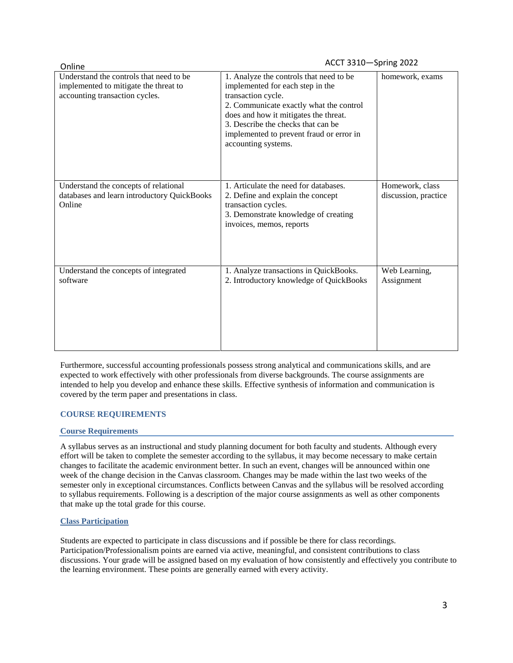| Online                                                                                                             | ACCT 3310-Spring 2022                                                                                                                                                                                                                                                                          |                                         |
|--------------------------------------------------------------------------------------------------------------------|------------------------------------------------------------------------------------------------------------------------------------------------------------------------------------------------------------------------------------------------------------------------------------------------|-----------------------------------------|
| Understand the controls that need to be<br>implemented to mitigate the threat to<br>accounting transaction cycles. | 1. Analyze the controls that need to be<br>implemented for each step in the<br>transaction cycle.<br>2. Communicate exactly what the control<br>does and how it mitigates the threat.<br>3. Describe the checks that can be<br>implemented to prevent fraud or error in<br>accounting systems. | homework, exams                         |
| Understand the concepts of relational<br>databases and learn introductory QuickBooks<br>Online                     | 1. Articulate the need for databases.<br>2. Define and explain the concept<br>transaction cycles.<br>3. Demonstrate knowledge of creating<br>invoices, memos, reports                                                                                                                          | Homework, class<br>discussion, practice |
| Understand the concepts of integrated<br>software                                                                  | 1. Analyze transactions in QuickBooks.<br>2. Introductory knowledge of QuickBooks                                                                                                                                                                                                              | Web Learning,<br>Assignment             |

Furthermore, successful accounting professionals possess strong analytical and communications skills, and are expected to work effectively with other professionals from diverse backgrounds. The course assignments are intended to help you develop and enhance these skills. Effective synthesis of information and communication is covered by the term paper and presentations in class.

### **COURSE REQUIREMENTS**

### **Course Requirements**

A syllabus serves as an instructional and study planning document for both faculty and students. Although every effort will be taken to complete the semester according to the syllabus, it may become necessary to make certain changes to facilitate the academic environment better. In such an event, changes will be announced within one week of the change decision in the Canvas classroom. Changes may be made within the last two weeks of the semester only in exceptional circumstances. Conflicts between Canvas and the syllabus will be resolved according to syllabus requirements. Following is a description of the major course assignments as well as other components that make up the total grade for this course.

### **Class Participation**

Students are expected to participate in class discussions and if possible be there for class recordings. Participation/Professionalism points are earned via active, meaningful, and consistent contributions to class discussions. Your grade will be assigned based on my evaluation of how consistently and effectively you contribute to the learning environment. These points are generally earned with every activity.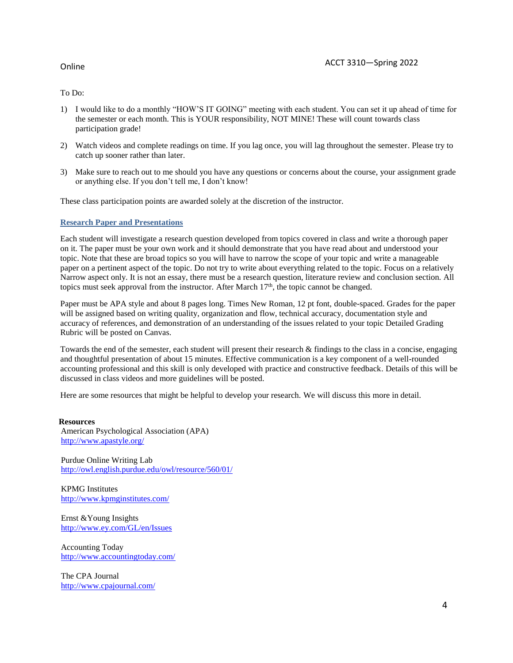To Do:

- 1) I would like to do a monthly "HOW'S IT GOING" meeting with each student. You can set it up ahead of time for the semester or each month. This is YOUR responsibility, NOT MINE! These will count towards class participation grade!
- 2) Watch videos and complete readings on time. If you lag once, you will lag throughout the semester. Please try to catch up sooner rather than later.
- 3) Make sure to reach out to me should you have any questions or concerns about the course, your assignment grade or anything else. If you don't tell me, I don't know!

These class participation points are awarded solely at the discretion of the instructor.

#### **Research Paper and Presentations**

Each student will investigate a research question developed from topics covered in class and write a thorough paper on it. The paper must be your own work and it should demonstrate that you have read about and understood your topic. Note that these are broad topics so you will have to narrow the scope of your topic and write a manageable paper on a pertinent aspect of the topic. Do not try to write about everything related to the topic. Focus on a relatively Narrow aspect only. It is not an essay, there must be a research question, literature review and conclusion section. All topics must seek approval from the instructor. After March  $17<sup>th</sup>$ , the topic cannot be changed.

Paper must be APA style and about 8 pages long. Times New Roman, 12 pt font, double-spaced. Grades for the paper will be assigned based on writing quality, organization and flow, technical accuracy, documentation style and accuracy of references, and demonstration of an understanding of the issues related to your topic Detailed Grading Rubric will be posted on Canvas.

Towards the end of the semester, each student will present their research & findings to the class in a concise, engaging and thoughtful presentation of about 15 minutes. Effective communication is a key component of a well-rounded accounting professional and this skill is only developed with practice and constructive feedback. Details of this will be discussed in class videos and more guidelines will be posted.

Here are some resources that might be helpful to develop your research. We will discuss this more in detail.

#### **Resources** American Psychological Association (APA) <http://www.apastyle.org/>

Purdue Online Writing Lab <http://owl.english.purdue.edu/owl/resource/560/01/>

KPMG Institutes <http://www.kpmginstitutes.com/>

Ernst &Young Insights <http://www.ey.com/GL/en/Issues>

Accounting Today <http://www.accountingtoday.com/>

The CPA Journal <http://www.cpajournal.com/>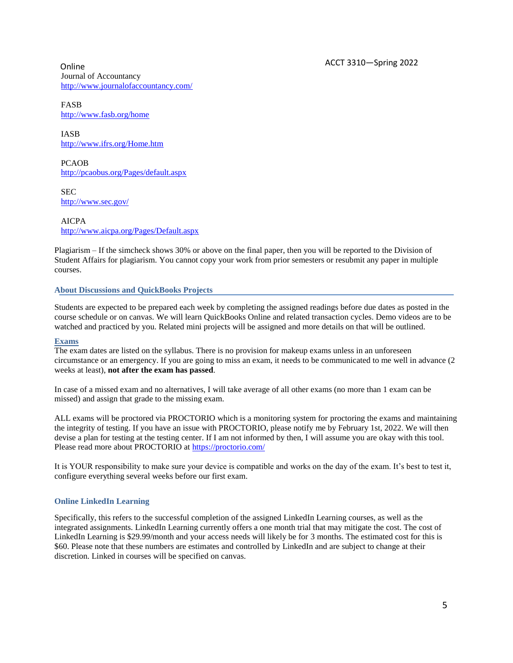Online ACCT 3310—Spring 2022 Journal of Accountancy <http://www.journalofaccountancy.com/>

FASB <http://www.fasb.org/home>

IASB <http://www.ifrs.org/Home.htm>

PCAOB <http://pcaobus.org/Pages/default.aspx>

**SEC** <http://www.sec.gov/>

AICPA <http://www.aicpa.org/Pages/Default.aspx>

Plagiarism – If the simcheck shows 30% or above on the final paper, then you will be reported to the Division of Student Affairs for plagiarism. You cannot copy your work from prior semesters or resubmit any paper in multiple courses.

#### **About Discussions and QuickBooks Projects**

Students are expected to be prepared each week by completing the assigned readings before due dates as posted in the course schedule or on canvas. We will learn QuickBooks Online and related transaction cycles. Demo videos are to be watched and practiced by you. Related mini projects will be assigned and more details on that will be outlined.

### **Exams**

The exam dates are listed on the syllabus. There is no provision for makeup exams unless in an unforeseen circumstance or an emergency. If you are going to miss an exam, it needs to be communicated to me well in advance (2 weeks at least), **not after the exam has passed**.

In case of a missed exam and no alternatives, I will take average of all other exams (no more than 1 exam can be missed) and assign that grade to the missing exam.

ALL exams will be proctored via PROCTORIO which is a monitoring system for proctoring the exams and maintaining the integrity of testing. If you have an issue with PROCTORIO, please notify me by February 1st, 2022. We will then devise a plan for testing at the testing center. If I am not informed by then, I will assume you are okay with this tool. Please read more about PROCTORIO at<https://proctorio.com/>

It is YOUR responsibility to make sure your device is compatible and works on the day of the exam. It's best to test it, configure everything several weeks before our first exam.

#### **Online LinkedIn Learning**

Specifically, this refers to the successful completion of the assigned LinkedIn Learning courses, as well as the integrated assignments. LinkedIn Learning currently offers a one month trial that may mitigate the cost. The cost of LinkedIn Learning is \$29.99/month and your access needs will likely be for 3 months. The estimated cost for this is \$60. Please note that these numbers are estimates and controlled by LinkedIn and are subject to change at their discretion. Linked in courses will be specified on canvas.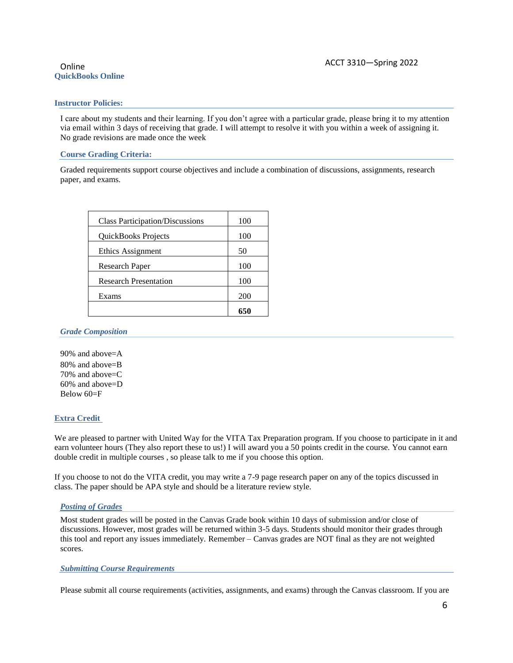# **QuickBooks Online**

#### **Instructor Policies:**

I care about my students and their learning. If you don't agree with a particular grade, please bring it to my attention via email within 3 days of receiving that grade. I will attempt to resolve it with you within a week of assigning it. No grade revisions are made once the week

#### **Course Grading Criteria:**

Graded requirements support course objectives and include a combination of discussions, assignments, research paper, and exams.

| <b>Class Participation/Discussions</b> | 100 |
|----------------------------------------|-----|
| QuickBooks Projects                    | 100 |
| Ethics Assignment                      | 50  |
| Research Paper                         | 100 |
| <b>Research Presentation</b>           | 100 |
| Exams                                  | 200 |
|                                        |     |

#### *Grade Composition*

90% and above=A 80% and above=B 70% and above=C 60% and above=D  $Below 60=F$ 

### **Extra Credit**

We are pleased to partner with United Way for the VITA Tax Preparation program. If you choose to participate in it and earn volunteer hours (They also report these to us!) I will award you a 50 points credit in the course. You cannot earn double credit in multiple courses , so please talk to me if you choose this option.

If you choose to not do the VITA credit, you may write a 7-9 page research paper on any of the topics discussed in class. The paper should be APA style and should be a literature review style.

### *Posting of Grades*

Most student grades will be posted in the Canvas Grade book within 10 days of submission and/or close of discussions. However, most grades will be returned within 3-5 days. Students should monitor their grades through this tool and report any issues immediately. Remember – Canvas grades are NOT final as they are not weighted scores.

### *Submitting Course Requirements*

Please submit all course requirements (activities, assignments, and exams) through the Canvas classroom. If you are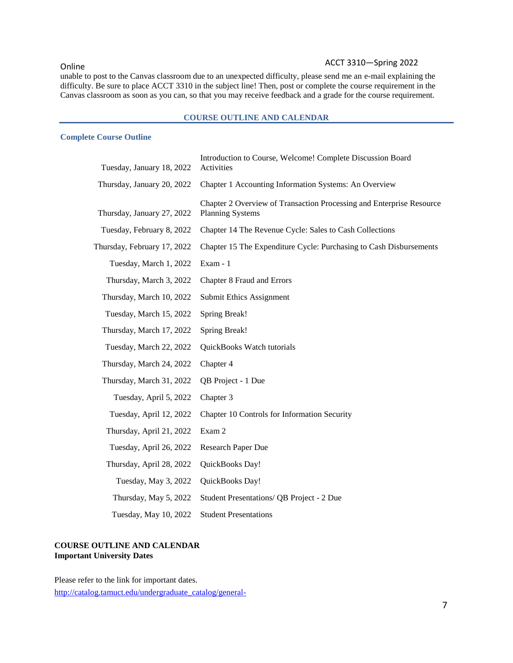# Online **ACCT** 3310 - Spring 2022

unable to post to the Canvas classroom due to an unexpected difficulty, please send me an e-mail explaining the difficulty. Be sure to place ACCT 3310 in the subject line! Then, post or complete the course requirement in the Canvas classroom as soon as you can, so that you may receive feedback and a grade for the course requirement.

#### **COURSE OUTLINE AND CALENDAR**

#### **Complete Course Outline**

| Tuesday, January 18, 2022   | Introduction to Course, Welcome! Complete Discussion Board<br>Activities                        |
|-----------------------------|-------------------------------------------------------------------------------------------------|
| Thursday, January 20, 2022  | Chapter 1 Accounting Information Systems: An Overview                                           |
| Thursday, January 27, 2022  | Chapter 2 Overview of Transaction Processing and Enterprise Resource<br><b>Planning Systems</b> |
| Tuesday, February 8, 2022   | Chapter 14 The Revenue Cycle: Sales to Cash Collections                                         |
| Thursday, February 17, 2022 | Chapter 15 The Expenditure Cycle: Purchasing to Cash Disbursements                              |
| Tuesday, March 1, 2022      | Exam - 1                                                                                        |
| Thursday, March 3, 2022     | Chapter 8 Fraud and Errors                                                                      |
| Thursday, March 10, 2022    | Submit Ethics Assignment                                                                        |
| Tuesday, March 15, 2022     | Spring Break!                                                                                   |
| Thursday, March 17, 2022    | <b>Spring Break!</b>                                                                            |
| Tuesday, March 22, 2022     | QuickBooks Watch tutorials                                                                      |
| Thursday, March 24, 2022    | Chapter 4                                                                                       |
| Thursday, March 31, 2022    | QB Project - 1 Due                                                                              |
| Tuesday, April 5, 2022      | Chapter 3                                                                                       |
| Tuesday, April 12, 2022     | Chapter 10 Controls for Information Security                                                    |
| Thursday, April 21, 2022    | Exam 2                                                                                          |
| Tuesday, April 26, 2022     | Research Paper Due                                                                              |
| Thursday, April 28, 2022    | QuickBooks Day!                                                                                 |
| Tuesday, May 3, 2022        | QuickBooks Day!                                                                                 |
| Thursday, May 5, 2022       | Student Presentations/ QB Project - 2 Due                                                       |
| Tuesday, May 10, 2022       | <b>Student Presentations</b>                                                                    |

#### **COURSE OUTLINE AND CALENDAR Important University Dates**

Please refer to the link for important dates.

[http://catalog.tamuct.edu/undergraduate\\_catalog/general-](http://catalog.tamuct.edu/undergraduate_catalog/general-information/academic20calendars20and20final20exam20schedule/)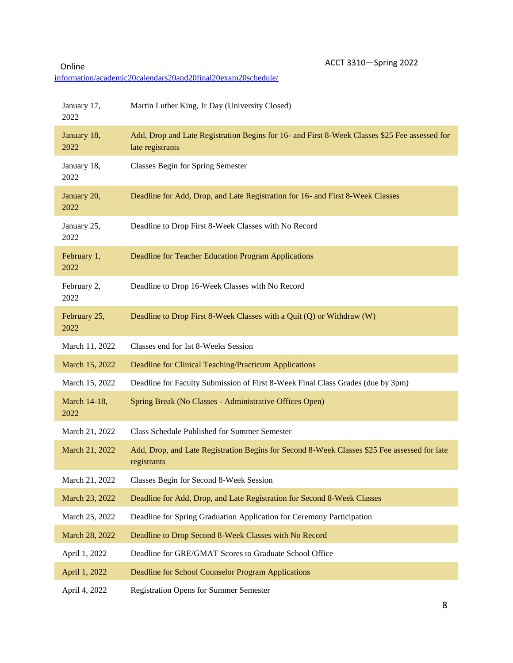Online ACCT 3310-Spring 2022

[information/academic20calendars20and20final20exam20schedule/](http://catalog.tamuct.edu/undergraduate_catalog/general-information/academic20calendars20and20final20exam20schedule/)

| January 17,<br>2022  | Martin Luther King, Jr Day (University Closed)                                                                    |
|----------------------|-------------------------------------------------------------------------------------------------------------------|
| January 18,<br>2022  | Add, Drop and Late Registration Begins for 16- and First 8-Week Classes \$25 Fee assessed for<br>late registrants |
| January 18,<br>2022  | <b>Classes Begin for Spring Semester</b>                                                                          |
| January 20,<br>2022  | Deadline for Add, Drop, and Late Registration for 16- and First 8-Week Classes                                    |
| January 25,<br>2022  | Deadline to Drop First 8-Week Classes with No Record                                                              |
| February 1,<br>2022  | Deadline for Teacher Education Program Applications                                                               |
| February 2,<br>2022  | Deadline to Drop 16-Week Classes with No Record                                                                   |
| February 25,<br>2022 | Deadline to Drop First 8-Week Classes with a Quit (Q) or Withdraw (W)                                             |
| March 11, 2022       | Classes end for 1st 8-Weeks Session                                                                               |
| March 15, 2022       | Deadline for Clinical Teaching/Practicum Applications                                                             |
| March 15, 2022       | Deadline for Faculty Submission of First 8-Week Final Class Grades (due by 3pm)                                   |
| March 14-18,<br>2022 | Spring Break (No Classes - Administrative Offices Open)                                                           |
| March 21, 2022       | Class Schedule Published for Summer Semester                                                                      |
| March 21, 2022       | Add, Drop, and Late Registration Begins for Second 8-Week Classes \$25 Fee assessed for late<br>registrants       |
| March 21, 2022       | Classes Begin for Second 8-Week Session                                                                           |
| March 23, 2022       | Deadline for Add, Drop, and Late Registration for Second 8-Week Classes                                           |
| March 25, 2022       | Deadline for Spring Graduation Application for Ceremony Participation                                             |
| March 28, 2022       | Deadline to Drop Second 8-Week Classes with No Record                                                             |
| April 1, 2022        | Deadline for GRE/GMAT Scores to Graduate School Office                                                            |
| April 1, 2022        | Deadline for School Counselor Program Applications                                                                |
| April 4, 2022        | <b>Registration Opens for Summer Semester</b>                                                                     |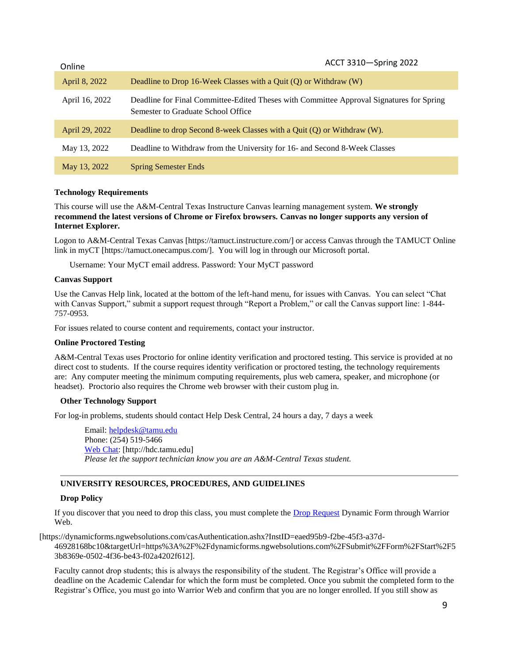| Online         | ACCT 3310-Spring 2022                                                                                                          |
|----------------|--------------------------------------------------------------------------------------------------------------------------------|
| April 8, 2022  | Deadline to Drop 16-Week Classes with a Quit $(Q)$ or Withdraw $(W)$                                                           |
| April 16, 2022 | Deadline for Final Committee-Edited Theses with Committee Approval Signatures for Spring<br>Semester to Graduate School Office |
| April 29, 2022 | Deadline to drop Second 8-week Classes with a Quit $(Q)$ or Withdraw $(W)$ .                                                   |
| May 13, 2022   | Deadline to Withdraw from the University for 16- and Second 8-Week Classes                                                     |
| May 13, 2022   | <b>Spring Semester Ends</b>                                                                                                    |

#### **Technology Requirements**

This course will use the A&M-Central Texas Instructure Canvas learning management system. **We strongly recommend the latest versions of Chrome or Firefox browsers. Canvas no longer supports any version of Internet Explorer.**

Logon to A&M-Central Texas Canvas [https://tamuct.instructure.com/] or access Canvas through the TAMUCT Online link in myCT [https://tamuct.onecampus.com/]. You will log in through our Microsoft portal.

Username: Your MyCT email address. Password: Your MyCT password

#### **Canvas Support**

Use the Canvas Help link, located at the bottom of the left-hand menu, for issues with Canvas. You can select "Chat with Canvas Support," submit a support request through "Report a Problem," or call the Canvas support line: 1-844-757-0953.

For issues related to course content and requirements, contact your instructor.

### **Online Proctored Testing**

A&M-Central Texas uses Proctorio for online identity verification and proctored testing. This service is provided at no direct cost to students. If the course requires identity verification or proctored testing, the technology requirements are: Any computer meeting the minimum computing requirements, plus web camera, speaker, and microphone (or headset). Proctorio also requires the Chrome web browser with their custom plug in.

### **Other Technology Support**

For log-in problems, students should contact Help Desk Central, 24 hours a day, 7 days a week

Email: [helpdesk@tamu.edu](mailto:helpdesk@tamu.edu) Phone: (254) 519-5466 [Web Chat:](http://hdc.tamu.edu/) [http://hdc.tamu.edu] *Please let the support technician know you are an A&M-Central Texas student.*

### **UNIVERSITY RESOURCES, PROCEDURES, AND GUIDELINES**

#### **Drop Policy**

If you discover that you need to drop this class, you must complete the [Drop Request](https://dynamicforms.ngwebsolutions.com/casAuthentication.ashx?InstID=eaed95b9-f2be-45f3-a37d-46928168bc10&targetUrl=https%3A%2F%2Fdynamicforms.ngwebsolutions.com%2FSubmit%2FForm%2FStart%2F53b8369e-0502-4f36-be43-f02a4202f612) Dynamic Form through Warrior Web.

[https://dynamicforms.ngwebsolutions.com/casAuthentication.ashx?InstID=eaed95b9-f2be-45f3-a37d-

46928168bc10&targetUrl=https%3A%2F%2Fdynamicforms.ngwebsolutions.com%2FSubmit%2FForm%2FStart%2F5 3b8369e-0502-4f36-be43-f02a4202f612].

Faculty cannot drop students; this is always the responsibility of the student. The Registrar's Office will provide a deadline on the Academic Calendar for which the form must be completed. Once you submit the completed form to the Registrar's Office, you must go into Warrior Web and confirm that you are no longer enrolled. If you still show as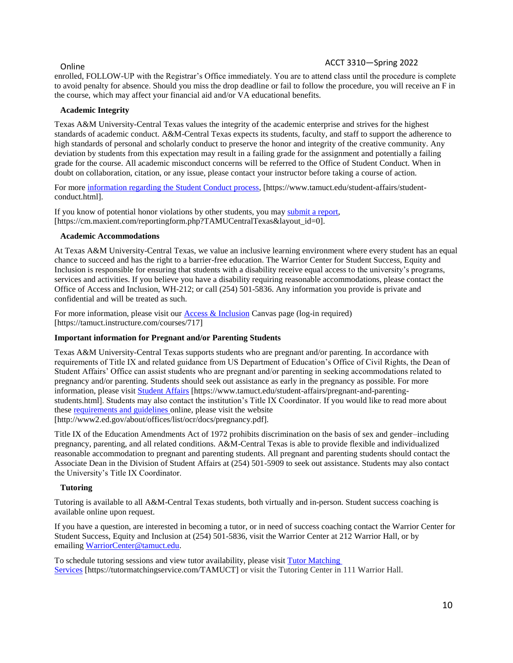# Online ACCT 3310—Spring 2022

enrolled, FOLLOW-UP with the Registrar's Office immediately. You are to attend class until the procedure is complete to avoid penalty for absence. Should you miss the drop deadline or fail to follow the procedure, you will receive an F in the course, which may affect your financial aid and/or VA educational benefits.

#### **Academic Integrity**

Texas A&M University-Central Texas values the integrity of the academic enterprise and strives for the highest standards of academic conduct. A&M-Central Texas expects its students, faculty, and staff to support the adherence to high standards of personal and scholarly conduct to preserve the honor and integrity of the creative community. Any deviation by students from this expectation may result in a failing grade for the assignment and potentially a failing grade for the course. All academic misconduct concerns will be referred to the Office of Student Conduct. When in doubt on collaboration, citation, or any issue, please contact your instructor before taking a course of action.

For more [information](https://nam04.safelinks.protection.outlook.com/?url=https%3A%2F%2Fwww.tamuct.edu%2Fstudent-affairs%2Fstudent-conduct.html&data=04%7C01%7Clisa.bunkowski%40tamuct.edu%7Ccfb6e486f24745f53e1a08d910055cb2%7C9eed4e3000f744849ff193ad8005acec%7C0%7C0%7C637558437485252160%7CUnknown%7CTWFpbGZsb3d8eyJWIjoiMC4wLjAwMDAiLCJQIjoiV2luMzIiLCJBTiI6Ik1haWwiLCJXVCI6Mn0%3D%7C1000&sdata=yjftDEVHvLX%2FhM%2FcFU0B99krV1RgEWR%2BJ%2BhvtoR6TYk%3D&reserved=0) regarding the Student Conduct process, [https://www.tamuct.edu/student-affairs/studentconduct.html].

If you know of potential honor violations by other students, you may [submit](https://nam04.safelinks.protection.outlook.com/?url=https%3A%2F%2Fcm.maxient.com%2Freportingform.php%3FTAMUCentralTexas%26layout_id%3D0&data=04%7C01%7Clisa.bunkowski%40tamuct.edu%7Ccfb6e486f24745f53e1a08d910055cb2%7C9eed4e3000f744849ff193ad8005acec%7C0%7C0%7C637558437485262157%7CUnknown%7CTWFpbGZsb3d8eyJWIjoiMC4wLjAwMDAiLCJQIjoiV2luMzIiLCJBTiI6Ik1haWwiLCJXVCI6Mn0%3D%7C1000&sdata=CXGkOa6uPDPX1IMZ87z3aZDq2n91xfHKu4MMS43Ejjk%3D&reserved=0) a report, [https://cm.maxient.com/reportingform.php?TAMUCentralTexas&layout\_id=0].

#### **Academic Accommodations**

At Texas A&M University-Central Texas, we value an inclusive learning environment where every student has an equal chance to succeed and has the right to a barrier-free education. The Warrior Center for Student Success, Equity and Inclusion is responsible for ensuring that students with a disability receive equal access to the university's programs, services and activities. If you believe you have a disability requiring reasonable accommodations, please contact the Office of Access and Inclusion, WH-212; or call (254) 501-5836. Any information you provide is private and confidential and will be treated as such.

For more information, please visit our  $\Delta c \cos \&$  Inclusion Canvas page (log-in required) [https://tamuct.instructure.com/courses/717]

### **Important information for Pregnant and/or Parenting Students**

Texas A&M University-Central Texas supports students who are pregnant and/or parenting. In accordance with requirements of Title IX and related guidance from US Department of Education's Office of Civil Rights, the Dean of Student Affairs' Office can assist students who are pregnant and/or parenting in seeking accommodations related to pregnancy and/or parenting. Students should seek out assistance as early in the pregnancy as possible. For more information, please visit [Student Affairs](https://www.tamuct.edu/student-affairs/pregnant-and-parenting-students.html) [https://www.tamuct.edu/student-affairs/pregnant-and-parentingstudents.html]. Students may also contact the institution's Title IX Coordinator. If you would like to read more about these [requirements and guidelines](http://www2.ed.gov/about/offices/list/ocr/docs/pregnancy.pdf) online, please visit the website [http://www2.ed.gov/about/offices/list/ocr/docs/pregnancy.pdf].

Title IX of the Education Amendments Act of 1972 prohibits discrimination on the basis of sex and gender–including pregnancy, parenting, and all related conditions. A&M-Central Texas is able to provide flexible and individualized reasonable accommodation to pregnant and parenting students. All pregnant and parenting students should contact the Associate Dean in the Division of Student Affairs at (254) 501-5909 to seek out assistance. Students may also contact the University's Title IX Coordinator.

### **Tutoring**

Tutoring is available to all A&M-Central Texas students, both virtually and in-person. Student success coaching is available online upon request.

If you have a question, are interested in becoming a tutor, or in need of success coaching contact the Warrior Center for Student Success, Equity and Inclusion at (254) 501-5836, visit the Warrior Center at 212 Warrior Hall, or by emailing [WarriorCenter@tamuct.edu.](mailto:WarriorCenter@tamuct.edu)

To schedule tutoring sessions and view tutor availability, please visit **Tutor [Matching](https://tutormatchingservice.com/TAMUCT)** [Services](https://tutormatchingservice.com/TAMUCT) [https://tutormatchingservice.com/TAMUCT] or visit the Tutoring Center in 111 Warrior Hall.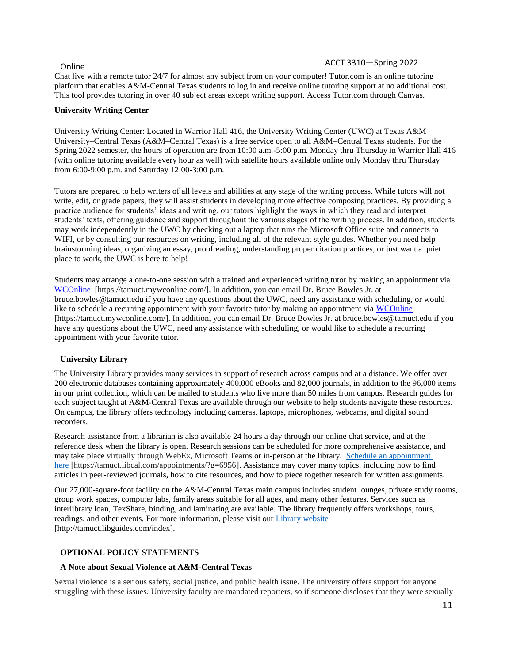# Online ACCT 3310—Spring 2022

Chat live with a remote tutor 24/7 for almost any subject from on your computer! Tutor.com is an online tutoring platform that enables A&M-Central Texas students to log in and receive online tutoring support at no additional cost. This tool provides tutoring in over 40 subject areas except writing support. Access Tutor.com through Canvas.

#### **University Writing Center**

University Writing Center: Located in Warrior Hall 416, the University Writing Center (UWC) at Texas A&M University–Central Texas (A&M–Central Texas) is a free service open to all A&M–Central Texas students. For the Spring 2022 semester, the hours of operation are from 10:00 a.m.-5:00 p.m. Monday thru Thursday in Warrior Hall 416 (with online tutoring available every hour as well) with satellite hours available online only Monday thru Thursday from 6:00-9:00 p.m. and Saturday 12:00-3:00 p.m.

Tutors are prepared to help writers of all levels and abilities at any stage of the writing process. While tutors will not write, edit, or grade papers, they will assist students in developing more effective composing practices. By providing a practice audience for students' ideas and writing, our tutors highlight the ways in which they read and interpret students' texts, offering guidance and support throughout the various stages of the writing process. In addition, students may work independently in the UWC by checking out a laptop that runs the Microsoft Office suite and connects to WIFI, or by consulting our resources on writing, including all of the relevant style guides. Whether you need help brainstorming ideas, organizing an essay, proofreading, understanding proper citation practices, or just want a quiet place to work, the UWC is here to help!

Students may arrange a one-to-one session with a trained and experienced writing tutor by making an appointment via [WCOnline](https://tamuct.mywconline.com/) [https://tamuct.mywconline.com/]. In addition, you can email Dr. Bruce Bowles Jr. at bruce.bowles@tamuct.edu if you have any questions about the UWC, need any assistance with scheduling, or would like to schedule a recurring appointment with your favorite tutor by making an appointment via [WCOnline](https://tamuct.mywconline.com/) [https://tamuct.mywconline.com/]. In addition, you can email Dr. Bruce Bowles Jr. at bruce.bowles@tamuct.edu if you have any questions about the UWC, need any assistance with scheduling, or would like to schedule a recurring appointment with your favorite tutor.

#### **University Library**

The University Library provides many services in support of research across campus and at a distance. We offer over 200 electronic databases containing approximately 400,000 eBooks and 82,000 journals, in addition to the 96,000 items in our print collection, which can be mailed to students who live more than 50 miles from campus. Research guides for each subject taught at A&M-Central Texas are available through our website to help students navigate these resources. On campus, the library offers technology including cameras, laptops, microphones, webcams, and digital sound recorders.

Research assistance from a librarian is also available 24 hours a day through our online chat service, and at the reference desk when the library is open. Research sessions can be scheduled for more comprehensive assistance, and may take place virtually through WebEx, Microsoft Teams or in-person at the library. Schedule an [appointment](https://nam04.safelinks.protection.outlook.com/?url=https%3A%2F%2Ftamuct.libcal.com%2Fappointments%2F%3Fg%3D6956&data=04%7C01%7Clisa.bunkowski%40tamuct.edu%7Cde2c07d9f5804f09518008d9ab7ba6ff%7C9eed4e3000f744849ff193ad8005acec%7C0%7C0%7C637729369835011558%7CUnknown%7CTWFpbGZsb3d8eyJWIjoiMC4wLjAwMDAiLCJQIjoiV2luMzIiLCJBTiI6Ik1haWwiLCJXVCI6Mn0%3D%7C3000&sdata=KhtjgRSAw9aq%2FoBsB6wyu8b7PSuGN5EGPypzr3Ty2No%3D&reserved=0) [here](https://nam04.safelinks.protection.outlook.com/?url=https%3A%2F%2Ftamuct.libcal.com%2Fappointments%2F%3Fg%3D6956&data=04%7C01%7Clisa.bunkowski%40tamuct.edu%7Cde2c07d9f5804f09518008d9ab7ba6ff%7C9eed4e3000f744849ff193ad8005acec%7C0%7C0%7C637729369835011558%7CUnknown%7CTWFpbGZsb3d8eyJWIjoiMC4wLjAwMDAiLCJQIjoiV2luMzIiLCJBTiI6Ik1haWwiLCJXVCI6Mn0%3D%7C3000&sdata=KhtjgRSAw9aq%2FoBsB6wyu8b7PSuGN5EGPypzr3Ty2No%3D&reserved=0) [https://tamuct.libcal.com/appointments/?g=6956]. Assistance may cover many topics, including how to find articles in peer-reviewed journals, how to cite resources, and how to piece together research for written assignments.

Our 27,000-square-foot facility on the A&M-Central Texas main campus includes student lounges, private study rooms, group work spaces, computer labs, family areas suitable for all ages, and many other features. Services such as interlibrary loan, TexShare, binding, and laminating are available. The library frequently offers workshops, tours, readings, and other events. For more information, please visit our *Library* [website](https://nam04.safelinks.protection.outlook.com/?url=https%3A%2F%2Ftamuct.libguides.com%2Findex&data=04%7C01%7Clisa.bunkowski%40tamuct.edu%7C7d8489e8839a4915335f08d916f067f2%7C9eed4e3000f744849ff193ad8005acec%7C0%7C0%7C637566044056484222%7CUnknown%7CTWFpbGZsb3d8eyJWIjoiMC4wLjAwMDAiLCJQIjoiV2luMzIiLCJBTiI6Ik1haWwiLCJXVCI6Mn0%3D%7C1000&sdata=2R755V6rcIyedGrd4Os5rkgn1PvhHKU3kUV1vBKiHFo%3D&reserved=0) [http://tamuct.libguides.com/index].

### **OPTIONAL POLICY STATEMENTS**

#### **A Note about Sexual Violence at A&M-Central Texas**

Sexual violence is a serious safety, social justice, and public health issue. The university offers support for anyone struggling with these issues. University faculty are mandated reporters, so if someone discloses that they were sexually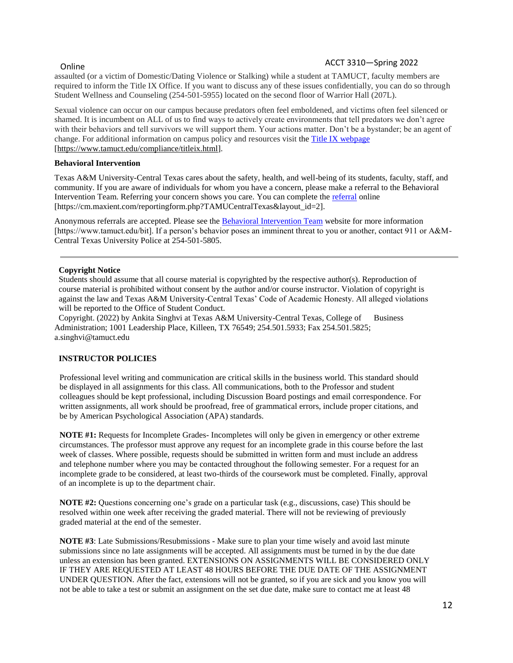# Online ACCT 3310—Spring 2022

assaulted (or a victim of Domestic/Dating Violence or Stalking) while a student at TAMUCT, faculty members are required to inform the Title IX Office. If you want to discuss any of these issues confidentially, you can do so through Student Wellness and Counseling (254-501-5955) located on the second floor of Warrior Hall (207L).

Sexual violence can occur on our campus because predators often feel emboldened, and victims often feel silenced or shamed. It is incumbent on ALL of us to find ways to actively create environments that tell predators we don't agree with their behaviors and tell survivors we will support them. Your actions matter. Don't be a bystander; be an agent of change. For additional information on campus policy and resources visit th[e Title IX webpage](https://www.tamuct.edu/compliance/titleix.html) [\[https://www.tamuct.edu/compliance/titleix.html\]](https://www.tamuct.edu/compliance/titleix.html).

#### **Behavioral Intervention**

Texas A&M University-Central Texas cares about the safety, health, and well-being of its students, faculty, staff, and community. If you are aware of individuals for whom you have a concern, please make a referral to the Behavioral Intervention Team. Referring your concern shows you care. You can complete the [referral](https://cm.maxient.com/reportingform.php?TAMUCentralTexas&layout_id=2) online [https://cm.maxient.com/reportingform.php?TAMUCentralTexas&layout\_id=2].

Anonymous referrals are accepted. Please see the **Behavioral Intervention Team** website for more information [https://www.tamuct.edu/bit]. If a person's behavior poses an imminent threat to you or another, contact 911 or A&M-Central Texas University Police at 254-501-5805.

#### **Copyright Notice**

Students should assume that all course material is copyrighted by the respective author(s). Reproduction of course material is prohibited without consent by the author and/or course instructor. Violation of copyright is against the law and Texas A&M University-Central Texas' Code of Academic Honesty. All alleged violations will be reported to the Office of Student Conduct.

 Copyright. (2022) by Ankita Singhvi at Texas A&M University-Central Texas, College of Business Administration; 1001 Leadership Place, Killeen, TX 76549; 254.501.5933; Fax 254.501.5825; a.singhvi@tamuct.edu

### **INSTRUCTOR POLICIES**

Professional level writing and communication are critical skills in the business world. This standard should be displayed in all assignments for this class. All communications, both to the Professor and student colleagues should be kept professional, including Discussion Board postings and email correspondence. For written assignments, all work should be proofread, free of grammatical errors, include proper citations, and be by American Psychological Association (APA) standards.

**NOTE #1:** Requests for Incomplete Grades- Incompletes will only be given in emergency or other extreme circumstances. The professor must approve any request for an incomplete grade in this course before the last week of classes. Where possible, requests should be submitted in written form and must include an address and telephone number where you may be contacted throughout the following semester. For a request for an incomplete grade to be considered, at least two-thirds of the coursework must be completed. Finally, approval of an incomplete is up to the department chair.

**NOTE #2:** Questions concerning one's grade on a particular task (e.g., discussions, case) This should be resolved within one week after receiving the graded material. There will not be reviewing of previously graded material at the end of the semester.

**NOTE #3**: Late Submissions/Resubmissions - Make sure to plan your time wisely and avoid last minute submissions since no late assignments will be accepted. All assignments must be turned in by the due date unless an extension has been granted. EXTENSIONS ON ASSIGNMENTS WILL BE CONSIDERED ONLY IF THEY ARE REQUESTED AT LEAST 48 HOURS BEFORE THE DUE DATE OF THE ASSIGNMENT UNDER QUESTION. After the fact, extensions will not be granted, so if you are sick and you know you will not be able to take a test or submit an assignment on the set due date, make sure to contact me at least 48